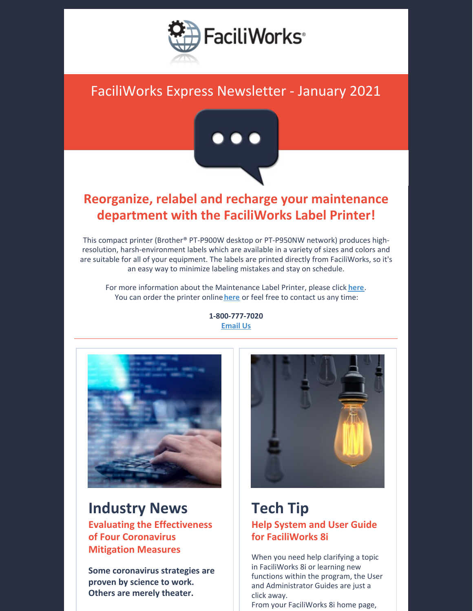

### FaciliWorks Express Newsletter - January 2021



### **Reorganize, relabel and recharge your maintenance department with the FaciliWorks Label Printer!**

This compact printer (Brother® PT-P900W desktop or PT-P950NW network) produces highresolution, harsh-environment labels which are available in a variety of sizes and colors and are suitable for all of your equipment. The labels are printed directly from FaciliWorks, so it's an easy way to minimize labeling mistakes and stay on schedule.

For more information about the Maintenance Label Printer, please click **[here](https://faciliworks.com/wp-content/uploads/FaciliWorks_Maintenance_Label_Printer_Brochure.pdf)**. You can order the printer online [here](https://cybermetrics.com/product-category/faciliworks/) or feel free to contact us any time:



# **Industry News**

**Evaluating the Effectiveness of Four Coronavirus Mitigation Measures**

**Some coronavirus strategies are proven by science to work. Others are merely theater.**



### **Tech Tip Help System and User Guide for FaciliWorks 8i**

When you need help clarifying a topic in FaciliWorks 8i or learning new functions within the program, the User and Administrator Guides are just a click away.

From your FaciliWorks 8i home page,

**1-800-777-7020 [Email](mailto:sales@cybermetrics.com) Us**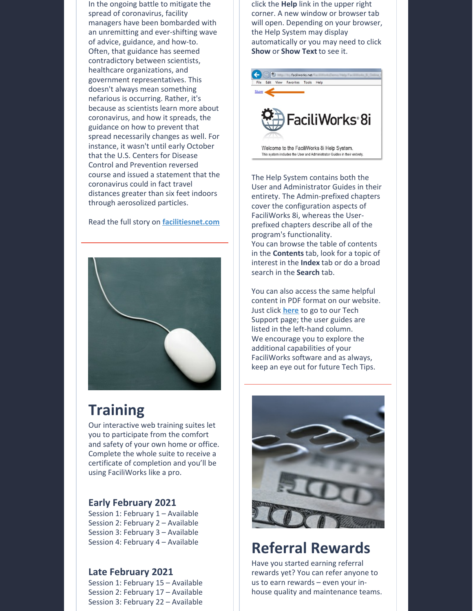In the ongoing battle to mitigate the spread of coronavirus, facility managers have been bombarded with an unremitting and ever-shifting wave of advice, guidance, and how-to. Often, that guidance has seemed contradictory between scientists, healthcare organizations, and government representatives. This doesn't always mean something nefarious is occurring. Rather, it's because as scientists learn more about coronavirus, and how it spreads, the guidance on how to prevent that spread necessarily changes as well. For instance, it wasn't until early October that the U.S. Centers for Disease Control and Prevention reversed course and issued a statement that the coronavirus could in fact travel distances greater than six feet indoors through aerosolized particles.

#### Read the full story on **[facilitiesnet.com](https://www.facilitiesnet.com/fnPrime/details/Evaluating-The-Effectiveness-Of-Four-Coronavirus-Mitigation-Measures--5525?utm_source=fnwebsiteorganic&utm_medium=fnwebsite&utm_campaign=organic)**



## **Training**

Our interactive web training suites let you to participate from the comfort and safety of your own home or office. Complete the whole suite to receive a certificate of completion and you'll be using FaciliWorks like a pro.

#### **Early February 2021**

Session 1: February 1 – Available Session 2: February 2 – Available Session 3: February 3 – Available Session 4: February 4 – Available

#### **Late February 2021**

Session 1: February 15 – Available Session 2: February 17 – Available Session 3: February 22 – Available click the **Help** link in the upper right corner. A new window or browser tab will open. Depending on your browser, the Help System may display automatically or you may need to click **Show** or **Show Text** to see it.



The Help System contains both the User and Administrator Guides in their entirety. The Admin-prefixed chapters cover the configuration aspects of FaciliWorks 8i, whereas the Userprefixed chapters describe all of the program's functionality. You can browse the table of contents in the **Contents** tab, look for a topic of interest in the **Index** tab or do a broad search in the **Search** tab.

You can also access the same helpful content in PDF format on our website. Just click **[here](https://faciliworks.com/support/)** to go to our Tech Support page; the user guides are listed in the left-hand column. We encourage you to explore the additional capabilities of your FaciliWorks software and as always, keep an eye out for future Tech Tips.



## **Referral Rewards**

Have you started earning referral rewards yet? You can refer anyone to us to earn rewards – even your inhouse quality and maintenance teams.